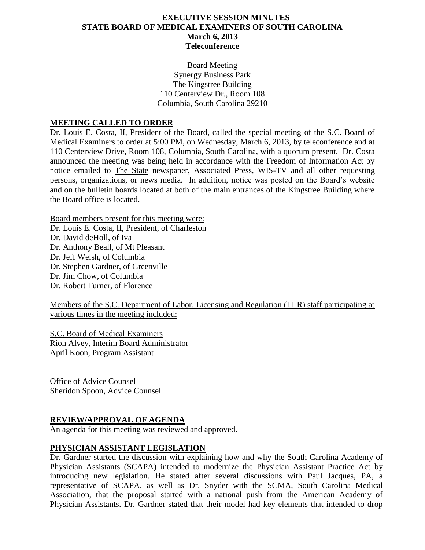# **EXECUTIVE SESSION MINUTES STATE BOARD OF MEDICAL EXAMINERS OF SOUTH CAROLINA March 6, 2013 Teleconference**

Board Meeting Synergy Business Park The Kingstree Building 110 Centerview Dr., Room 108 Columbia, South Carolina 29210

### **MEETING CALLED TO ORDER**

Dr. Louis E. Costa, II, President of the Board, called the special meeting of the S.C. Board of Medical Examiners to order at 5:00 PM, on Wednesday, March 6, 2013, by teleconference and at 110 Centerview Drive, Room 108, Columbia, South Carolina, with a quorum present. Dr. Costa announced the meeting was being held in accordance with the Freedom of Information Act by notice emailed to The State newspaper, Associated Press, WIS-TV and all other requesting persons, organizations, or news media. In addition, notice was posted on the Board's website and on the bulletin boards located at both of the main entrances of the Kingstree Building where the Board office is located.

Board members present for this meeting were:

Dr. Louis E. Costa, II, President, of Charleston

Dr. David deHoll, of Iva

Dr. Anthony Beall, of Mt Pleasant Dr. Jeff Welsh, of Columbia

Dr. Stephen Gardner, of Greenville

Dr. Jim Chow, of Columbia

Dr. Robert Turner, of Florence

Members of the S.C. Department of Labor, Licensing and Regulation (LLR) staff participating at various times in the meeting included:

S.C. Board of Medical Examiners Rion Alvey, Interim Board Administrator April Koon, Program Assistant

Office of Advice Counsel Sheridon Spoon, Advice Counsel

# **REVIEW/APPROVAL OF AGENDA**

An agenda for this meeting was reviewed and approved.

# **PHYSICIAN ASSISTANT LEGISLATION**

Dr. Gardner started the discussion with explaining how and why the South Carolina Academy of Physician Assistants (SCAPA) intended to modernize the Physician Assistant Practice Act by introducing new legislation. He stated after several discussions with Paul Jacques, PA, a representative of SCAPA, as well as Dr. Snyder with the SCMA, South Carolina Medical Association, that the proposal started with a national push from the American Academy of Physician Assistants. Dr. Gardner stated that their model had key elements that intended to drop